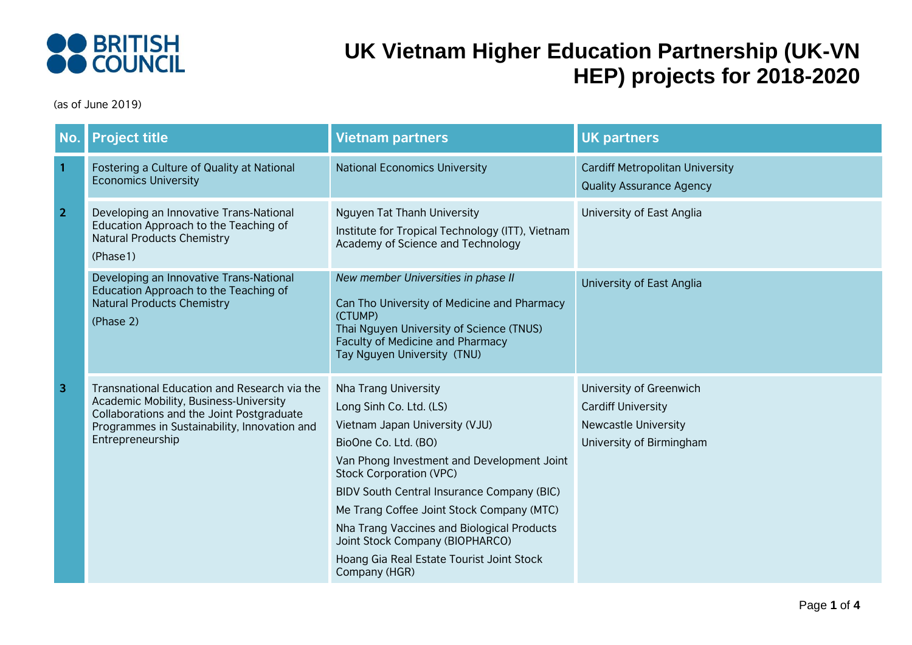

| No.            | <b>Project title</b>                                                                                                                                                                                           | <b>Vietnam partners</b>                                                                                                                                                                                                                                                                                                                                                                                                             | <b>UK partners</b>                                                                                              |
|----------------|----------------------------------------------------------------------------------------------------------------------------------------------------------------------------------------------------------------|-------------------------------------------------------------------------------------------------------------------------------------------------------------------------------------------------------------------------------------------------------------------------------------------------------------------------------------------------------------------------------------------------------------------------------------|-----------------------------------------------------------------------------------------------------------------|
| $\mathbf{1}$   | Fostering a Culture of Quality at National<br><b>Economics University</b>                                                                                                                                      | <b>National Economics University</b>                                                                                                                                                                                                                                                                                                                                                                                                | <b>Cardiff Metropolitan University</b><br><b>Quality Assurance Agency</b>                                       |
| $\overline{2}$ | Developing an Innovative Trans-National<br>Education Approach to the Teaching of<br><b>Natural Products Chemistry</b><br>(Phase1)                                                                              | Nguyen Tat Thanh University<br>Institute for Tropical Technology (ITT), Vietnam<br>Academy of Science and Technology                                                                                                                                                                                                                                                                                                                | University of East Anglia                                                                                       |
|                | Developing an Innovative Trans-National<br>Education Approach to the Teaching of<br><b>Natural Products Chemistry</b><br>(Phase 2)                                                                             | New member Universities in phase II<br>Can Tho University of Medicine and Pharmacy<br>(CTUMP)<br>Thai Nguyen University of Science (TNUS)<br>Faculty of Medicine and Pharmacy<br>Tay Nguyen University (TNU)                                                                                                                                                                                                                        | University of East Anglia                                                                                       |
| 3              | Transnational Education and Research via the<br><b>Academic Mobility, Business-University</b><br>Collaborations and the Joint Postgraduate<br>Programmes in Sustainability, Innovation and<br>Entrepreneurship | Nha Trang University<br>Long Sinh Co. Ltd. (LS)<br>Vietnam Japan University (VJU)<br>BioOne Co. Ltd. (BO)<br>Van Phong Investment and Development Joint<br><b>Stock Corporation (VPC)</b><br>BIDV South Central Insurance Company (BIC)<br>Me Trang Coffee Joint Stock Company (MTC)<br>Nha Trang Vaccines and Biological Products<br>Joint Stock Company (BIOPHARCO)<br>Hoang Gia Real Estate Tourist Joint Stock<br>Company (HGR) | University of Greenwich<br><b>Cardiff University</b><br><b>Newcastle University</b><br>University of Birmingham |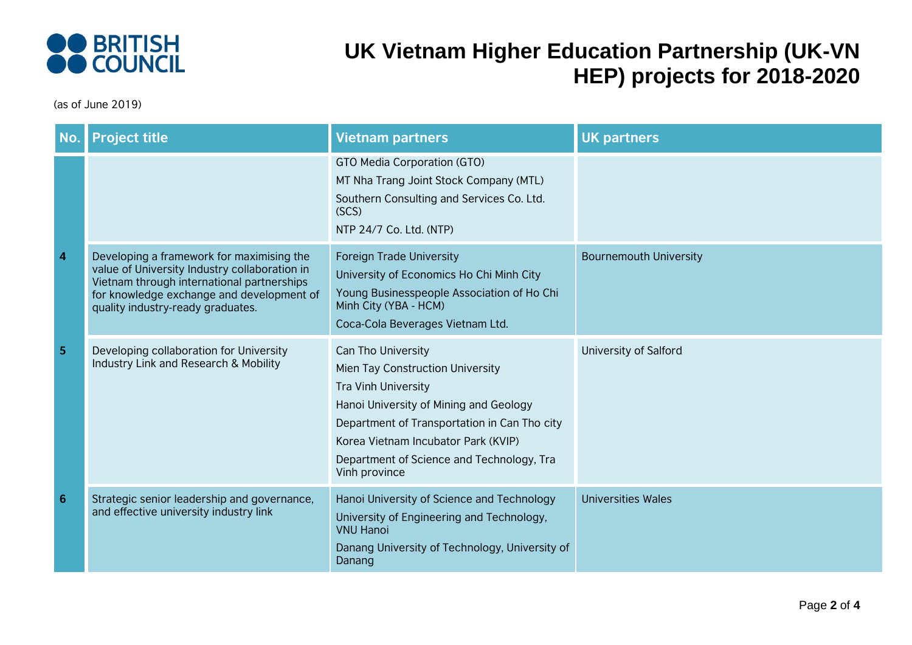

| <b>No</b>               | <b>Project title</b>                                                                                                                                                                                                       | <b>Vietnam partners</b>                                                                                                                                                                                                                                                             | <b>UK partners</b>            |
|-------------------------|----------------------------------------------------------------------------------------------------------------------------------------------------------------------------------------------------------------------------|-------------------------------------------------------------------------------------------------------------------------------------------------------------------------------------------------------------------------------------------------------------------------------------|-------------------------------|
|                         |                                                                                                                                                                                                                            | GTO Media Corporation (GTO)<br>MT Nha Trang Joint Stock Company (MTL)<br>Southern Consulting and Services Co. Ltd.<br>(SCS)<br>NTP 24/7 Co. Ltd. (NTP)                                                                                                                              |                               |
| $\overline{\mathbf{4}}$ | Developing a framework for maximising the<br>value of University Industry collaboration in<br>Vietnam through international partnerships<br>for knowledge exchange and development of<br>quality industry-ready graduates. | <b>Foreign Trade University</b><br>University of Economics Ho Chi Minh City<br>Young Businesspeople Association of Ho Chi<br>Minh City (YBA - HCM)<br>Coca-Cola Beverages Vietnam Ltd.                                                                                              | <b>Bournemouth University</b> |
| 5                       | Developing collaboration for University<br>Industry Link and Research & Mobility                                                                                                                                           | Can Tho University<br>Mien Tay Construction University<br><b>Tra Vinh University</b><br>Hanoi University of Mining and Geology<br>Department of Transportation in Can Tho city<br>Korea Vietnam Incubator Park (KVIP)<br>Department of Science and Technology, Tra<br>Vinh province | University of Salford         |
| $6\phantom{1}6$         | Strategic senior leadership and governance,<br>and effective university industry link                                                                                                                                      | Hanoi University of Science and Technology<br>University of Engineering and Technology,<br><b>VNU Hanoi</b><br>Danang University of Technology, University of<br>Danang                                                                                                             | <b>Universities Wales</b>     |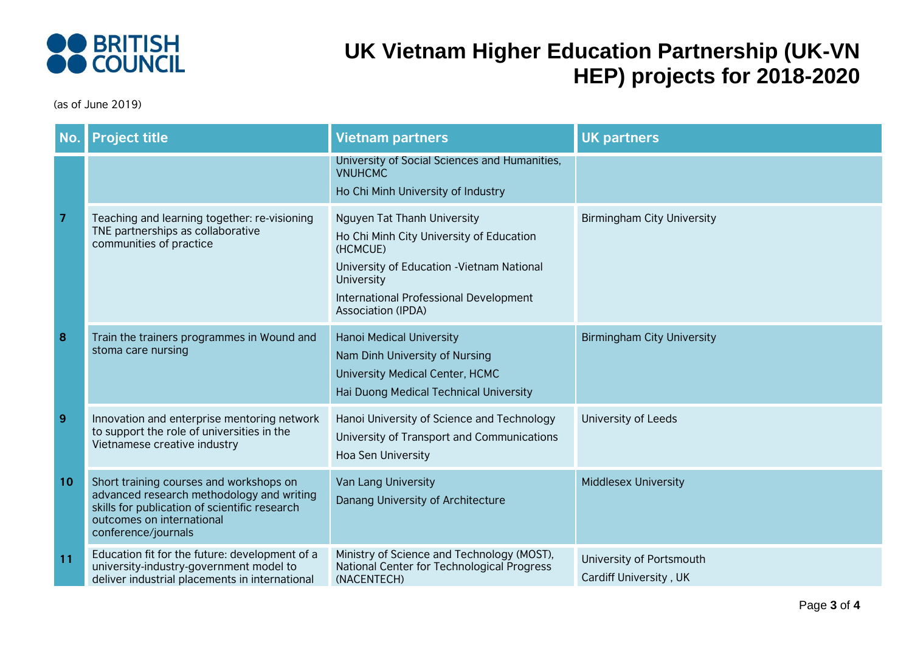

| <b>No</b>      | <b>Project title</b>                                                                                                                                                                      | <b>Vietnam partners</b>                                                                                                                                                                                                       | <b>UK partners</b>                                 |
|----------------|-------------------------------------------------------------------------------------------------------------------------------------------------------------------------------------------|-------------------------------------------------------------------------------------------------------------------------------------------------------------------------------------------------------------------------------|----------------------------------------------------|
|                |                                                                                                                                                                                           | University of Social Sciences and Humanities,<br><b>VNUHCMC</b><br>Ho Chi Minh University of Industry                                                                                                                         |                                                    |
| $\overline{7}$ | Teaching and learning together: re-visioning<br>TNE partnerships as collaborative<br>communities of practice                                                                              | Nguyen Tat Thanh University<br>Ho Chi Minh City University of Education<br>(HCMCUE)<br>University of Education - Vietnam National<br><b>University</b><br>International Professional Development<br><b>Association (IPDA)</b> | <b>Birmingham City University</b>                  |
| 8              | Train the trainers programmes in Wound and<br>stoma care nursing                                                                                                                          | Hanoi Medical University<br>Nam Dinh University of Nursing<br>University Medical Center, HCMC<br>Hai Duong Medical Technical University                                                                                       | <b>Birmingham City University</b>                  |
| 9              | Innovation and enterprise mentoring network<br>to support the role of universities in the<br>Vietnamese creative industry                                                                 | Hanoi University of Science and Technology<br>University of Transport and Communications<br>Hoa Sen University                                                                                                                | University of Leeds                                |
| 10             | Short training courses and workshops on<br>advanced research methodology and writing<br>skills for publication of scientific research<br>outcomes on international<br>conference/journals | Van Lang University<br>Danang University of Architecture                                                                                                                                                                      | <b>Middlesex University</b>                        |
| 11             | Education fit for the future: development of a<br>university-industry-government model to<br>deliver industrial placements in international                                               | Ministry of Science and Technology (MOST),<br>National Center for Technological Progress<br>(NACENTECH)                                                                                                                       | University of Portsmouth<br>Cardiff University, UK |